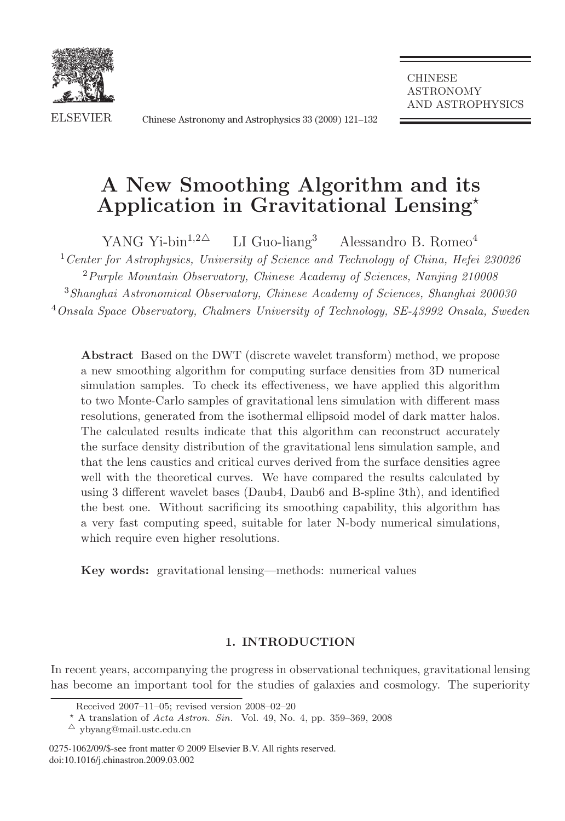

ELSEVIER Chinese Astronomy and Astrophysics 33 (2009) 121–132 Chinese Astronomy and Astrophysics 33 (2009) 121–132

**CHINESE** ASTRONOMY AND ASTROPHYSICS

# **A New Smoothing Algorithm and its Application in Gravitational Lensing**-

YANG Yi-bin<sup>1,2 $\triangle$ </sup> LI Guo-liang<sup>3</sup> Alessandro B. Romeo<sup>4</sup> <sup>1</sup> Center for Astrophysics, University of Science and Technology of China, Hefei 230026 <sup>2</sup> Purple Mountain Observatory, Chinese Academy of Sciences, Nanjing 210008 <sup>3</sup>Shanghai Astronomical Observatory, Chinese Academy of Sciences, Shanghai 200030 <sup>4</sup>Onsala Space Observatory, Chalmers University of Technology, SE-43992 Onsala, Sweden

**Abstract** Based on the DWT (discrete wavelet transform) method, we propose a new smoothing algorithm for computing surface densities from 3D numerical simulation samples. To check its effectiveness, we have applied this algorithm to two Monte-Carlo samples of gravitational lens simulation with different mass resolutions, generated from the isothermal ellipsoid model of dark matter halos. The calculated results indicate that this algorithm can reconstruct accurately the surface density distribution of the gravitational lens simulation sample, and that the lens caustics and critical curves derived from the surface densities agree well with the theoretical curves. We have compared the results calculated by using 3 different wavelet bases (Daub4, Daub6 and B-spline 3th), and identified the best one. Without sacrificing its smoothing capability, this algorithm has a very fast computing speed, suitable for later N-body numerical simulations, which require even higher resolutions.

**Key words:** gravitational lensing—methods: numerical values

# **1. INTRODUCTION**

In recent years, accompanying the progress in observational techniques, gravitational lensing has become an important tool for the studies of galaxies and cosmology. The superiority

Received 2007–11–05; revised version 2008–02–20

<sup>-</sup> A translation of Acta Astron. Sin. Vol. 49, No. 4, pp. 359–369, 2008

 $\triangle$  ybyang@mail.ustc.edu.cn

<sup>0275-1062/09/\$-</sup>see front matter © 2009 Elsevier B.V. All rights reserved. doi:10.1016/j.chinastron.2009.03.002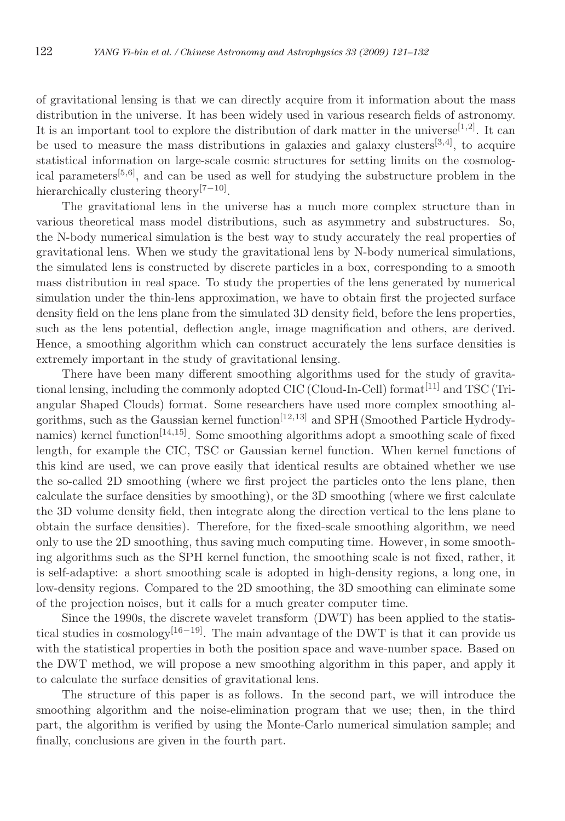of gravitational lensing is that we can directly acquire from it information about the mass distribution in the universe. It has been widely used in various research fields of astronomy. It is an important tool to explore the distribution of dark matter in the universe<sup>[1,2]</sup>. It can be used to measure the mass distributions in galaxies and galaxy clusters<sup>[3,4]</sup>, to acquire statistical information on large-scale cosmic structures for setting limits on the cosmological parameters<sup>[5,6]</sup>, and can be used as well for studying the substructure problem in the hierarchically clustering theory<sup>[7−10]</sup>.

The gravitational lens in the universe has a much more complex structure than in various theoretical mass model distributions, such as asymmetry and substructures. So, the N-body numerical simulation is the best way to study accurately the real properties of gravitational lens. When we study the gravitational lens by N-body numerical simulations, the simulated lens is constructed by discrete particles in a box, corresponding to a smooth mass distribution in real space. To study the properties of the lens generated by numerical simulation under the thin-lens approximation, we have to obtain first the projected surface density field on the lens plane from the simulated 3D density field, before the lens properties, such as the lens potential, deflection angle, image magnification and others, are derived. Hence, a smoothing algorithm which can construct accurately the lens surface densities is extremely important in the study of gravitational lensing.

There have been many different smoothing algorithms used for the study of gravitational lensing, including the commonly adopted CIC (Cloud-In-Cell) format<sup>[11]</sup> and TSC (Triangular Shaped Clouds) format. Some researchers have used more complex smoothing algorithms, such as the Gaussian kernel function<sup>[12,13]</sup> and SPH (Smoothed Particle Hydrodynamics) kernel function<sup>[14,15]</sup>. Some smoothing algorithms adopt a smoothing scale of fixed length, for example the CIC, TSC or Gaussian kernel function. When kernel functions of this kind are used, we can prove easily that identical results are obtained whether we use the so-called 2D smoothing (where we first project the particles onto the lens plane, then calculate the surface densities by smoothing), or the 3D smoothing (where we first calculate the 3D volume density field, then integrate along the direction vertical to the lens plane to obtain the surface densities). Therefore, for the fixed-scale smoothing algorithm, we need only to use the 2D smoothing, thus saving much computing time. However, in some smoothing algorithms such as the SPH kernel function, the smoothing scale is not fixed, rather, it is self-adaptive: a short smoothing scale is adopted in high-density regions, a long one, in low-density regions. Compared to the 2D smoothing, the 3D smoothing can eliminate some of the projection noises, but it calls for a much greater computer time.

Since the 1990s, the discrete wavelet transform (DWT) has been applied to the statistical studies in cosmology<sup>[16−19]</sup>. The main advantage of the DWT is that it can provide us with the statistical properties in both the position space and wave-number space. Based on the DWT method, we will propose a new smoothing algorithm in this paper, and apply it to calculate the surface densities of gravitational lens.

The structure of this paper is as follows. In the second part, we will introduce the smoothing algorithm and the noise-elimination program that we use; then, in the third part, the algorithm is verified by using the Monte-Carlo numerical simulation sample; and finally, conclusions are given in the fourth part.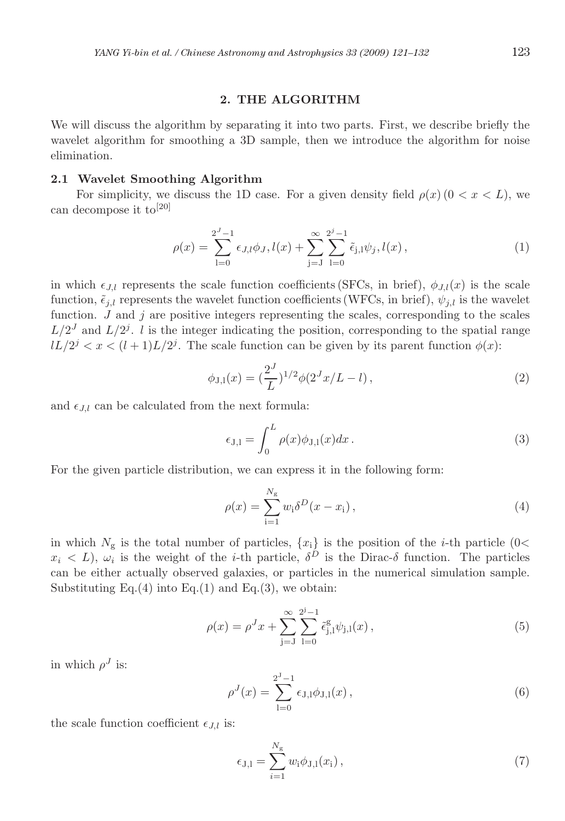#### **2. THE ALGORITHM**

We will discuss the algorithm by separating it into two parts. First, we describe briefly the wavelet algorithm for smoothing a 3D sample, then we introduce the algorithm for noise elimination.

## **2.1 Wavelet Smoothing Algorithm**

For simplicity, we discuss the 1D case. For a given density field  $\rho(x)$  ( $0 < x < L$ ), we can decompose it to[20]

$$
\rho(x) = \sum_{l=0}^{2^J - 1} \epsilon_{J,l} \phi_J, l(x) + \sum_{j=J}^{\infty} \sum_{l=0}^{2^j - 1} \tilde{\epsilon}_{j,l} \psi_j, l(x), \qquad (1)
$$

in which  $\epsilon_{LL}$  represents the scale function coefficients (SFCs, in brief),  $\phi_{LL}(x)$  is the scale function,  $\tilde{\epsilon}_{i,l}$  represents the wavelet function coefficients (WFCs, in brief),  $\psi_{i,l}$  is the wavelet function.  $J$  and  $j$  are positive integers representing the scales, corresponding to the scales  $L/2<sup>J</sup>$  and  $L/2<sup>j</sup>$ . l is the integer indicating the position, corresponding to the spatial range  $lL/2^{j} < x < (l+1)L/2^{j}$ . The scale function can be given by its parent function  $\phi(x)$ :

$$
\phi_{J,l}(x) = \left(\frac{2^J}{L}\right)^{1/2} \phi(2^J x/L - l),\tag{2}
$$

and  $\epsilon_{J,l}$  can be calculated from the next formula:

$$
\epsilon_{J,l} = \int_0^L \rho(x)\phi_{J,l}(x)dx.
$$
\n(3)

For the given particle distribution, we can express it in the following form:

$$
\rho(x) = \sum_{i=1}^{N_g} w_i \delta^D(x - x_i), \qquad (4)
$$

in which  $N_g$  is the total number of particles,  $\{x_i\}$  is the position of the *i*-th particle (0<  $x_i < L$ ,  $\omega_i$  is the weight of the *i*-th particle,  $\delta^D$  is the Dirac- $\delta$  function. The particles can be either actually observed galaxies, or particles in the numerical simulation sample. Substituting Eq.(4) into Eq.(1) and Eq.(3), we obtain:

$$
\rho(x) = \rho^J x + \sum_{j=J}^{\infty} \sum_{l=0}^{2^J-1} \tilde{\epsilon}_{j,l}^g \psi_{j,l}(x) , \qquad (5)
$$

in which  $\rho^J$  is:

$$
\rho^{J}(x) = \sum_{l=0}^{2^{J}-1} \epsilon_{J,l} \phi_{J,l}(x) , \qquad (6)
$$

the scale function coefficient  $\epsilon_{J,l}$  is:

$$
\epsilon_{J,l} = \sum_{i=1}^{N_g} w_i \phi_{J,l}(x_i) \,, \tag{7}
$$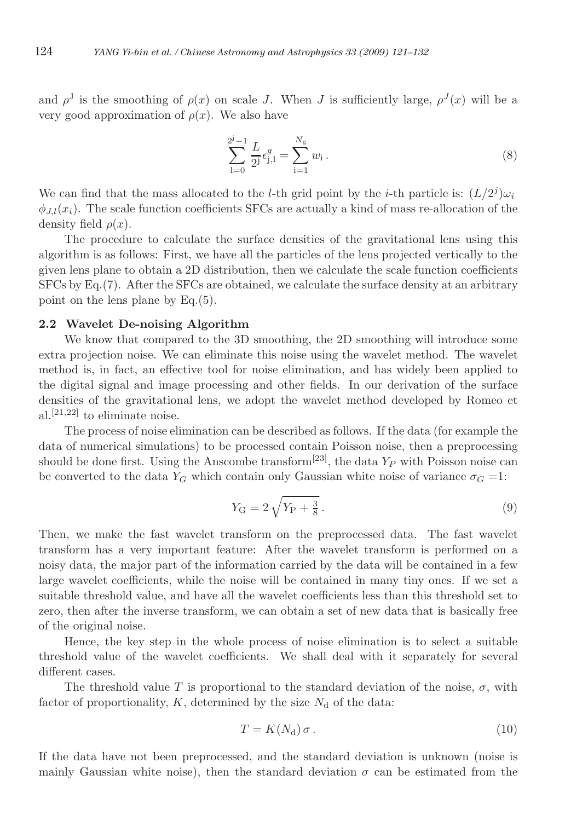and  $\rho^J$  is the smoothing of  $\rho(x)$  on scale J. When J is sufficiently large,  $\rho^J(x)$  will be a very good approximation of  $\rho(x)$ . We also have

$$
\sum_{l=0}^{2^{j}-1} \frac{L}{2^{j}} \epsilon_{j,l}^{g} = \sum_{i=1}^{N_{g}} w_{i}.
$$
 (8)

We can find that the mass allocated to the *l*-th grid point by the *i*-th particle is:  $(L/2<sup>j</sup>)\omega<sub>i</sub>$  $\phi_{II}(x_i)$ . The scale function coefficients SFCs are actually a kind of mass re-allocation of the density field  $\rho(x)$ .

The procedure to calculate the surface densities of the gravitational lens using this algorithm is as follows: First, we have all the particles of the lens projected vertically to the given lens plane to obtain a 2D distribution, then we calculate the scale function coefficients SFCs by Eq.(7). After the SFCs are obtained, we calculate the surface density at an arbitrary point on the lens plane by Eq.(5).

#### **2.2 Wavelet De-noising Algorithm**

We know that compared to the 3D smoothing, the 2D smoothing will introduce some extra projection noise. We can eliminate this noise using the wavelet method. The wavelet method is, in fact, an effective tool for noise elimination, and has widely been applied to the digital signal and image processing and other fields. In our derivation of the surface densities of the gravitational lens, we adopt the wavelet method developed by Romeo et al.<sup>[21,22]</sup> to eliminate noise.

The process of noise elimination can be described as follows. If the data (for example the data of numerical simulations) to be processed contain Poisson noise, then a preprocessing should be done first. Using the Anscombe transform<sup>[23]</sup>, the data  $Y_P$  with Poisson noise can be converted to the data  $Y_G$  which contain only Gaussian white noise of variance  $\sigma_G = 1$ :

$$
Y_{\rm G} = 2\sqrt{Y_{\rm P} + \frac{3}{8}}\,. \tag{9}
$$

Then, we make the fast wavelet transform on the preprocessed data. The fast wavelet transform has a very important feature: After the wavelet transform is performed on a noisy data, the major part of the information carried by the data will be contained in a few large wavelet coefficients, while the noise will be contained in many tiny ones. If we set a suitable threshold value, and have all the wavelet coefficients less than this threshold set to zero, then after the inverse transform, we can obtain a set of new data that is basically free of the original noise.

Hence, the key step in the whole process of noise elimination is to select a suitable threshold value of the wavelet coefficients. We shall deal with it separately for several different cases.

The threshold value T is proportional to the standard deviation of the noise,  $\sigma$ , with factor of proportionality,  $K$ , determined by the size  $N_d$  of the data:

$$
T = K(N_{\rm d}) \sigma \,. \tag{10}
$$

If the data have not been preprocessed, and the standard deviation is unknown (noise is mainly Gaussian white noise), then the standard deviation  $\sigma$  can be estimated from the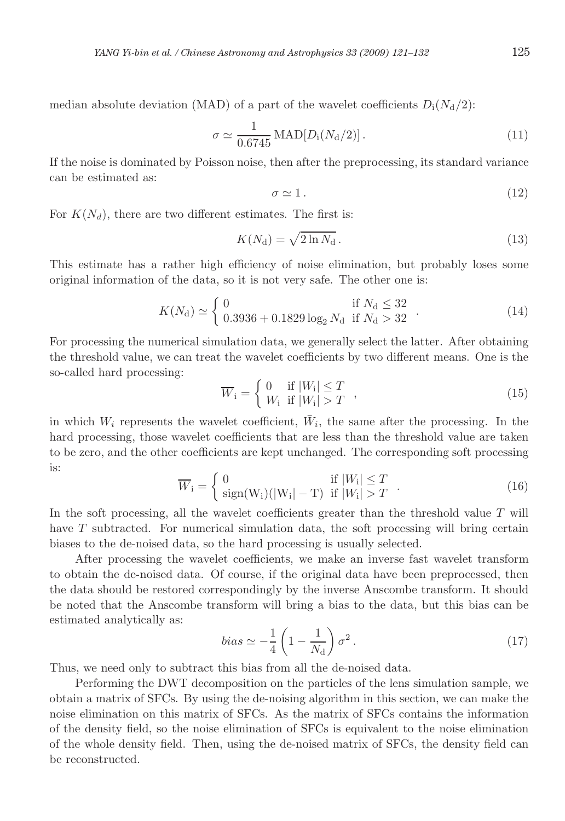median absolute deviation (MAD) of a part of the wavelet coefficients  $D_i(N_d/2)$ :

$$
\sigma \simeq \frac{1}{0.6745} \text{MAD}[D_{\text{i}}(N_{\text{d}}/2)]. \tag{11}
$$

If the noise is dominated by Poisson noise, then after the preprocessing, its standard variance can be estimated as:

$$
\sigma \simeq 1. \tag{12}
$$

For  $K(N_d)$ , there are two different estimates. The first is:

$$
K(N_{\rm d}) = \sqrt{2\ln N_{\rm d}}\,. \tag{13}
$$

This estimate has a rather high efficiency of noise elimination, but probably loses some original information of the data, so it is not very safe. The other one is:

$$
K(N_{\rm d}) \simeq \begin{cases} 0 & \text{if } N_{\rm d} \le 32\\ 0.3936 + 0.1829 \log_2 N_{\rm d} & \text{if } N_{\rm d} > 32 \end{cases} . \tag{14}
$$

For processing the numerical simulation data, we generally select the latter. After obtaining the threshold value, we can treat the wavelet coefficients by two different means. One is the so-called hard processing:

$$
\overline{W}_{i} = \begin{cases} 0 & \text{if } |W_{i}| \leq T \\ W_{i} & \text{if } |W_{i}| > T \end{cases}, \tag{15}
$$

in which  $W_i$  represents the wavelet coefficient,  $\bar{W}_i$ , the same after the processing. In the hard processing, those wavelet coefficients that are less than the threshold value are taken to be zero, and the other coefficients are kept unchanged. The corresponding soft processing is:

$$
\overline{W}_{i} = \begin{cases} 0 & \text{if } |W_{i}| \leq T \\ sign(W_{i})(|W_{i}| - T) & \text{if } |W_{i}| > T \end{cases}
$$
 (16)

In the soft processing, all the wavelet coefficients greater than the threshold value  $T$  will have T subtracted. For numerical simulation data, the soft processing will bring certain biases to the de-noised data, so the hard processing is usually selected.

After processing the wavelet coefficients, we make an inverse fast wavelet transform to obtain the de-noised data. Of course, if the original data have been preprocessed, then the data should be restored correspondingly by the inverse Anscombe transform. It should be noted that the Anscombe transform will bring a bias to the data, but this bias can be estimated analytically as:

$$
bias \simeq -\frac{1}{4} \left( 1 - \frac{1}{N_d} \right) \sigma^2 \,. \tag{17}
$$

Thus, we need only to subtract this bias from all the de-noised data.

Performing the DWT decomposition on the particles of the lens simulation sample, we obtain a matrix of SFCs. By using the de-noising algorithm in this section, we can make the noise elimination on this matrix of SFCs. As the matrix of SFCs contains the information of the density field, so the noise elimination of SFCs is equivalent to the noise elimination of the whole density field. Then, using the de-noised matrix of SFCs, the density field can be reconstructed.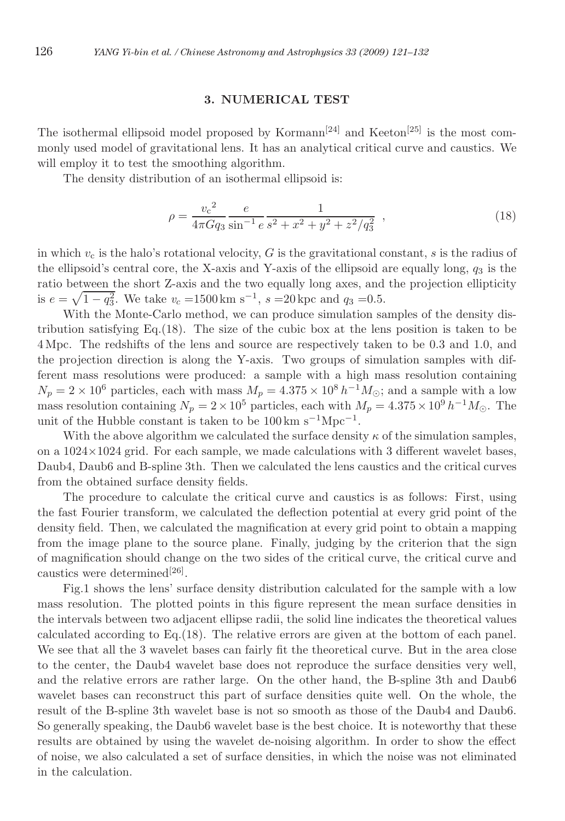#### **3. NUMERICAL TEST**

The isothermal ellipsoid model proposed by Kormann<sup>[24]</sup> and Keeton<sup>[25]</sup> is the most commonly used model of gravitational lens. It has an analytical critical curve and caustics. We will employ it to test the smoothing algorithm.

The density distribution of an isothermal ellipsoid is:

$$
\rho = \frac{v_c^2}{4\pi G q_3} \frac{e}{\sin^{-1} e} \frac{1}{s^2 + x^2 + y^2 + z^2/q_3^2} \tag{18}
$$

in which  $v_c$  is the halo's rotational velocity, G is the gravitational constant, s is the radius of the ellipsoid's central core, the X-axis and Y-axis of the ellipsoid are equally long,  $q_3$  is the ratio between the short Z-axis and the two equally long axes, and the projection ellipticity is  $e = \sqrt{1 - q_3^2}$ . We take  $v_c = 1500 \,\mathrm{km \ s^{-1}}$ ,  $s = 20 \,\mathrm{kpc}$  and  $q_3 = 0.5$ .

With the Monte-Carlo method, we can produce simulation samples of the density distribution satisfying Eq.(18). The size of the cubic box at the lens position is taken to be 4 Mpc. The redshifts of the lens and source are respectively taken to be 0.3 and 1.0, and the projection direction is along the Y-axis. Two groups of simulation samples with different mass resolutions were produced: a sample with a high mass resolution containing  $N_p = 2 \times 10^6$  particles, each with mass  $M_p = 4.375 \times 10^8 h^{-1} M_{\odot}$ ; and a sample with a low mass resolution containing  $N_p = 2 \times 10^5$  particles, each with  $M_p = 4.375 \times 10^9 h^{-1} M_{\odot}$ . The unit of the Hubble constant is taken to be  $100 \,\mathrm{km \ s}^{-1} \mathrm{Mpc}^{-1}$ .

With the above algorithm we calculated the surface density  $\kappa$  of the simulation samples, on a  $1024\times1024$  grid. For each sample, we made calculations with 3 different wavelet bases, Daub4, Daub6 and B-spline 3th. Then we calculated the lens caustics and the critical curves from the obtained surface density fields.

The procedure to calculate the critical curve and caustics is as follows: First, using the fast Fourier transform, we calculated the deflection potential at every grid point of the density field. Then, we calculated the magnification at every grid point to obtain a mapping from the image plane to the source plane. Finally, judging by the criterion that the sign of magnification should change on the two sides of the critical curve, the critical curve and caustics were determined<sup>[26]</sup>.

Fig.1 shows the lens' surface density distribution calculated for the sample with a low mass resolution. The plotted points in this figure represent the mean surface densities in the intervals between two adjacent ellipse radii, the solid line indicates the theoretical values calculated according to Eq.(18). The relative errors are given at the bottom of each panel. We see that all the 3 wavelet bases can fairly fit the theoretical curve. But in the area close to the center, the Daub4 wavelet base does not reproduce the surface densities very well, and the relative errors are rather large. On the other hand, the B-spline 3th and Daub6 wavelet bases can reconstruct this part of surface densities quite well. On the whole, the result of the B-spline 3th wavelet base is not so smooth as those of the Daub4 and Daub6. So generally speaking, the Daub6 wavelet base is the best choice. It is noteworthy that these results are obtained by using the wavelet de-noising algorithm. In order to show the effect of noise, we also calculated a set of surface densities, in which the noise was not eliminated in the calculation.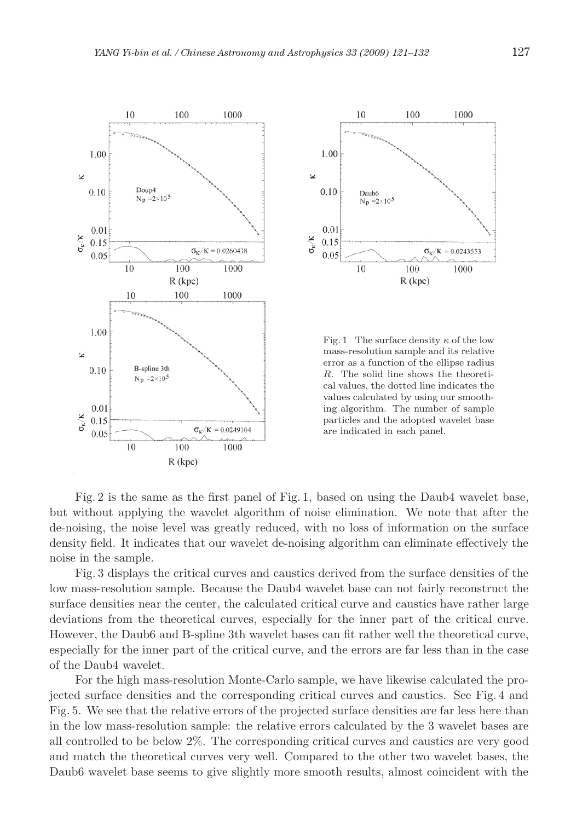

Fig. 2 is the same as the first panel of Fig. 1, based on using the Daub4 wavelet base, but without applying the wavelet algorithm of noise elimination. We note that after the de-noising, the noise level was greatly reduced, with no loss of information on the surface density field. It indicates that our wavelet de-noising algorithm can eliminate effectively the noise in the sample.

Fig. 3 displays the critical curves and caustics derived from the surface densities of the low mass-resolution sample. Because the Daub4 wavelet base can not fairly reconstruct the surface densities near the center, the calculated critical curve and caustics have rather large deviations from the theoretical curves, especially for the inner part of the critical curve. However, the Daub6 and B-spline 3th wavelet bases can fit rather well the theoretical curve, especially for the inner part of the critical curve, and the errors are far less than in the case of the Daub4 wavelet.

For the high mass-resolution Monte-Carlo sample, we have likewise calculated the projected surface densities and the corresponding critical curves and caustics. See Fig. 4 and Fig. 5. We see that the relative errors of the projected surface densities are far less here than in the low mass-resolution sample: the relative errors calculated by the 3 wavelet bases are all controlled to be below 2%. The corresponding critical curves and caustics are very good and match the theoretical curves very well. Compared to the other two wavelet bases, the Daub6 wavelet base seems to give slightly more smooth results, almost coincident with the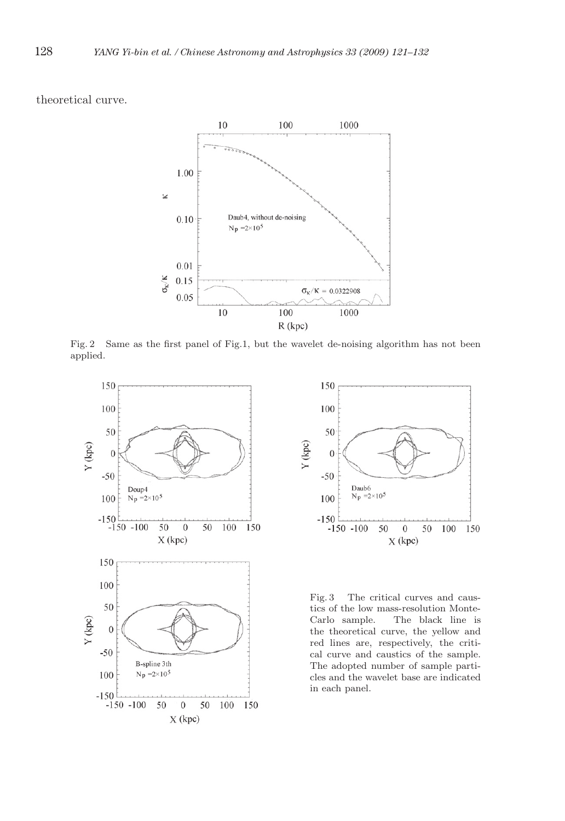theoretical curve.



Fig. 2 Same as the first panel of Fig.1, but the wavelet de-noising algorithm has not been applied.





Fig. 3 The critical curves and caustics of the low mass-resolution Monte-Carlo sample. The black line is the theoretical curve, the yellow and red lines are, respectively, the critical curve and caustics of the sample. The adopted number of sample particles and the wavelet base are indicated in each panel.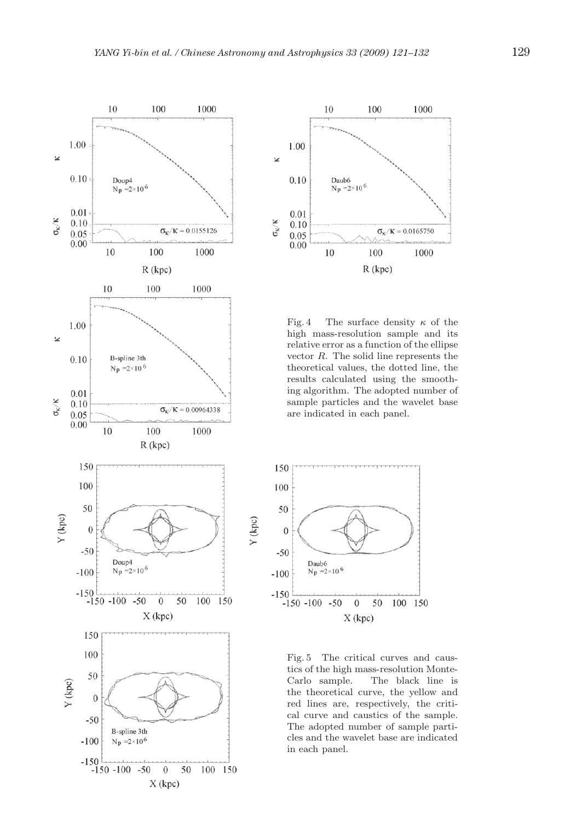



Fig. 4 The surface density  $\kappa$  of the high mass-resolution sample and its relative error as a function of the ellipse vector R. The solid line represents the theoretical values, the dotted line, the results calculated using the smoothing algorithm. The adopted number of sample particles and the wavelet base are indicated in each panel.



Fig. 5 The critical curves and caustics of the high mass-resolution Monte-Carlo sample. The black line is the theoretical curve, the yellow and red lines are, respectively, the critical curve and caustics of the sample. The adopted number of sample particles and the wavelet base are indicated in each panel.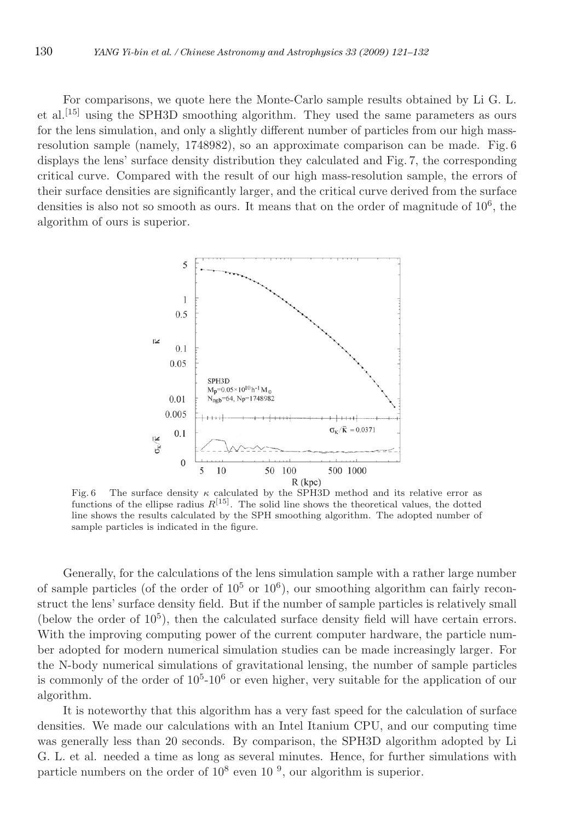For comparisons, we quote here the Monte-Carlo sample results obtained by Li G. L. et al.<sup>[15]</sup> using the SPH3D smoothing algorithm. They used the same parameters as ours for the lens simulation, and only a slightly different number of particles from our high massresolution sample (namely, 1748982), so an approximate comparison can be made. Fig. 6 displays the lens' surface density distribution they calculated and Fig. 7, the corresponding critical curve. Compared with the result of our high mass-resolution sample, the errors of their surface densities are significantly larger, and the critical curve derived from the surface densities is also not so smooth as ours. It means that on the order of magnitude of  $10^6$ , the algorithm of ours is superior.



Fig. 6 The surface density  $\kappa$  calculated by the SPH3D method and its relative error as functions of the ellipse radius  $R^{[15]}$ . The solid line shows the theoretical values, the dotted line shows the results calculated by the SPH smoothing algorithm. The adopted number of sample particles is indicated in the figure.

Generally, for the calculations of the lens simulation sample with a rather large number of sample particles (of the order of  $10^5$  or  $10^6$ ), our smoothing algorithm can fairly reconstruct the lens' surface density field. But if the number of sample particles is relatively small (below the order of  $10^5$ ), then the calculated surface density field will have certain errors. With the improving computing power of the current computer hardware, the particle number adopted for modern numerical simulation studies can be made increasingly larger. For the N-body numerical simulations of gravitational lensing, the number of sample particles is commonly of the order of  $10<sup>5</sup>$ -10<sup>6</sup> or even higher, very suitable for the application of our algorithm.

It is noteworthy that this algorithm has a very fast speed for the calculation of surface densities. We made our calculations with an Intel Itanium CPU, and our computing time was generally less than 20 seconds. By comparison, the SPH3D algorithm adopted by Li G. L. et al. needed a time as long as several minutes. Hence, for further simulations with particle numbers on the order of  $10^8$  even  $10^{-9}$ , our algorithm is superior.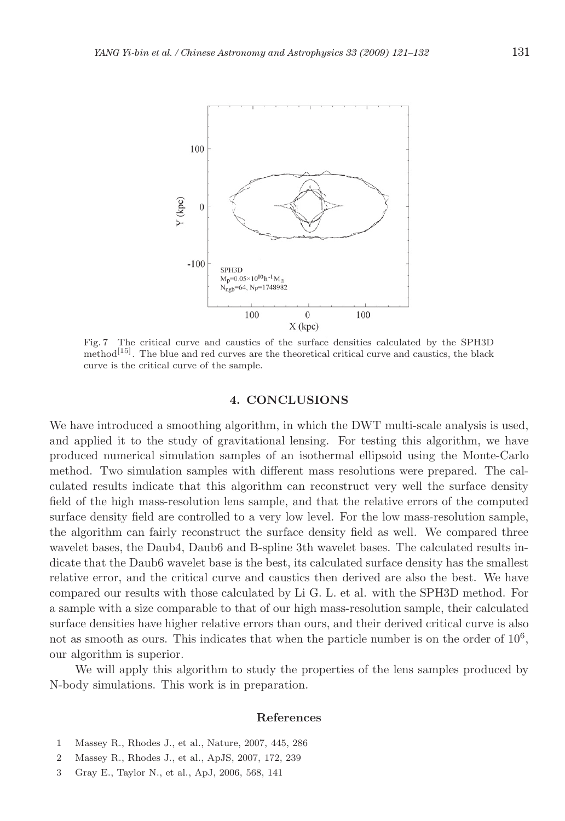

Fig. 7 The critical curve and caustics of the surface densities calculated by the SPH3D method<sup>[15]</sup>. The blue and red curves are the theoretical critical curve and caustics, the black curve is the critical curve of the sample.

#### **4. CONCLUSIONS**

We have introduced a smoothing algorithm, in which the DWT multi-scale analysis is used, and applied it to the study of gravitational lensing. For testing this algorithm, we have produced numerical simulation samples of an isothermal ellipsoid using the Monte-Carlo method. Two simulation samples with different mass resolutions were prepared. The calculated results indicate that this algorithm can reconstruct very well the surface density field of the high mass-resolution lens sample, and that the relative errors of the computed surface density field are controlled to a very low level. For the low mass-resolution sample, the algorithm can fairly reconstruct the surface density field as well. We compared three wavelet bases, the Daub4, Daub6 and B-spline 3th wavelet bases. The calculated results indicate that the Daub6 wavelet base is the best, its calculated surface density has the smallest relative error, and the critical curve and caustics then derived are also the best. We have compared our results with those calculated by Li G. L. et al. with the SPH3D method. For a sample with a size comparable to that of our high mass-resolution sample, their calculated surface densities have higher relative errors than ours, and their derived critical curve is also not as smooth as ours. This indicates that when the particle number is on the order of  $10<sup>6</sup>$ , our algorithm is superior.

We will apply this algorithm to study the properties of the lens samples produced by N-body simulations. This work is in preparation.

## **References**

- 1 Massey R., Rhodes J., et al., Nature, 2007, 445, 286
- 2 Massey R., Rhodes J., et al., ApJS, 2007, 172, 239
- 3 Gray E., Taylor N., et al., ApJ, 2006, 568, 141